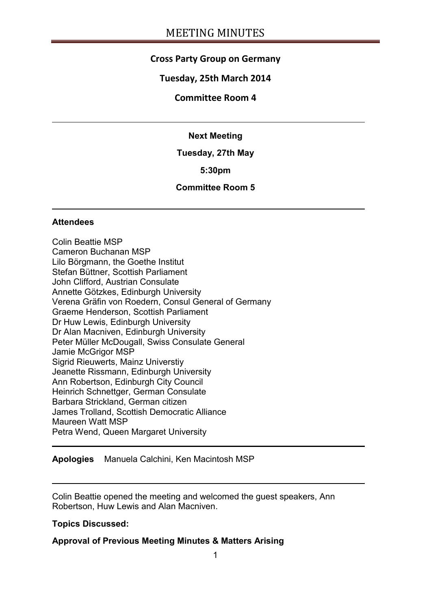## **Cross Party Group on Germany**

## **Tuesday, 25th March 2014**

### **Committee Room 4**

#### **Next Meeting**

#### **Tuesday, 27th May**

### **5:30pm**

## **Committee Room 5**

#### **Attendees**

Colin Beattie MSP Cameron Buchanan MSP Lilo Börgmann, the Goethe Institut Stefan Büttner, Scottish Parliament John Clifford, Austrian Consulate Annette Götzkes, Edinburgh University Verena Gräfin von Roedern, Consul General of Germany Graeme Henderson, Scottish Parliament Dr Huw Lewis, Edinburgh University Dr Alan Macniven, Edinburgh University Peter Müller McDougall, Swiss Consulate General Jamie McGrigor MSP Sigrid Rieuwerts, Mainz Universtiy Jeanette Rissmann, Edinburgh University Ann Robertson, Edinburgh City Council Heinrich Schnettger, German Consulate Barbara Strickland, German citizen James Trolland, Scottish Democratic Alliance Maureen Watt MSP Petra Wend, Queen Margaret University

**Apologies** Manuela Calchini, Ken Macintosh MSP

Colin Beattie opened the meeting and welcomed the guest speakers, Ann Robertson, Huw Lewis and Alan Macniven.

#### **Topics Discussed:**

## **Approval of Previous Meeting Minutes & Matters Arising**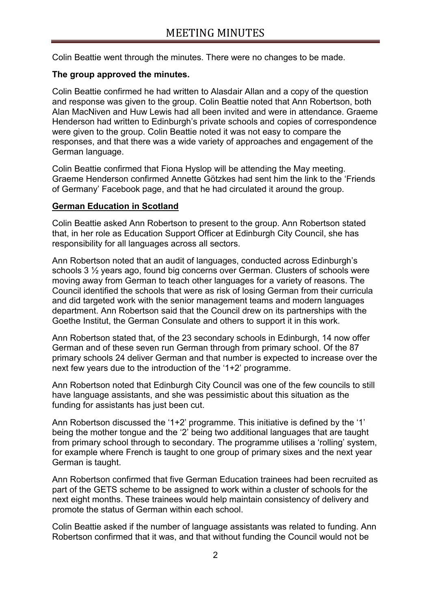Colin Beattie went through the minutes. There were no changes to be made.

### **The group approved the minutes.**

Colin Beattie confirmed he had written to Alasdair Allan and a copy of the question and response was given to the group. Colin Beattie noted that Ann Robertson, both Alan MacNiven and Huw Lewis had all been invited and were in attendance. Graeme Henderson had written to Edinburgh's private schools and copies of correspondence were given to the group. Colin Beattie noted it was not easy to compare the responses, and that there was a wide variety of approaches and engagement of the German language.

Colin Beattie confirmed that Fiona Hyslop will be attending the May meeting. Graeme Henderson confirmed Annette Götzkes had sent him the link to the 'Friends of Germany' Facebook page, and that he had circulated it around the group.

### **German Education in Scotland**

Colin Beattie asked Ann Robertson to present to the group. Ann Robertson stated that, in her role as Education Support Officer at Edinburgh City Council, she has responsibility for all languages across all sectors.

Ann Robertson noted that an audit of languages, conducted across Edinburgh's schools 3 ½ years ago, found big concerns over German. Clusters of schools were moving away from German to teach other languages for a variety of reasons. The Council identified the schools that were as risk of losing German from their curricula and did targeted work with the senior management teams and modern languages department. Ann Robertson said that the Council drew on its partnerships with the Goethe Institut, the German Consulate and others to support it in this work.

Ann Robertson stated that, of the 23 secondary schools in Edinburgh, 14 now offer German and of these seven run German through from primary school. Of the 87 primary schools 24 deliver German and that number is expected to increase over the next few years due to the introduction of the '1+2' programme.

Ann Robertson noted that Edinburgh City Council was one of the few councils to still have language assistants, and she was pessimistic about this situation as the funding for assistants has just been cut.

Ann Robertson discussed the '1+2' programme. This initiative is defined by the '1' being the mother tongue and the '2' being two additional languages that are taught from primary school through to secondary. The programme utilises a 'rolling' system, for example where French is taught to one group of primary sixes and the next year German is taught.

Ann Robertson confirmed that five German Education trainees had been recruited as part of the GETS scheme to be assigned to work within a cluster of schools for the next eight months. These trainees would help maintain consistency of delivery and promote the status of German within each school.

Colin Beattie asked if the number of language assistants was related to funding. Ann Robertson confirmed that it was, and that without funding the Council would not be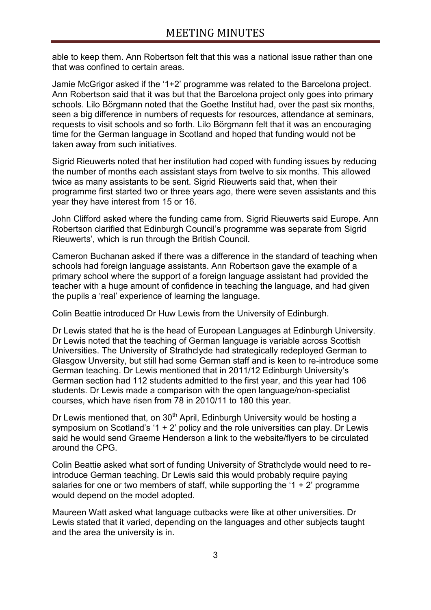able to keep them. Ann Robertson felt that this was a national issue rather than one that was confined to certain areas.

Jamie McGrigor asked if the '1+2' programme was related to the Barcelona project. Ann Robertson said that it was but that the Barcelona project only goes into primary schools. Lilo Börgmann noted that the Goethe Institut had, over the past six months, seen a big difference in numbers of requests for resources, attendance at seminars, requests to visit schools and so forth. Lilo Börgmann felt that it was an encouraging time for the German language in Scotland and hoped that funding would not be taken away from such initiatives.

Sigrid Rieuwerts noted that her institution had coped with funding issues by reducing the number of months each assistant stays from twelve to six months. This allowed twice as many assistants to be sent. Sigrid Rieuwerts said that, when their programme first started two or three years ago, there were seven assistants and this year they have interest from 15 or 16.

John Clifford asked where the funding came from. Sigrid Rieuwerts said Europe. Ann Robertson clarified that Edinburgh Council's programme was separate from Sigrid Rieuwerts', which is run through the British Council.

Cameron Buchanan asked if there was a difference in the standard of teaching when schools had foreign language assistants. Ann Robertson gave the example of a primary school where the support of a foreign language assistant had provided the teacher with a huge amount of confidence in teaching the language, and had given the pupils a 'real' experience of learning the language.

Colin Beattie introduced Dr Huw Lewis from the University of Edinburgh.

Dr Lewis stated that he is the head of European Languages at Edinburgh University. Dr Lewis noted that the teaching of German language is variable across Scottish Universities. The University of Strathclyde had strategically redeployed German to Glasgow Unversity, but still had some German staff and is keen to re-introduce some German teaching. Dr Lewis mentioned that in 2011/12 Edinburgh University's German section had 112 students admitted to the first year, and this year had 106 students. Dr Lewis made a comparison with the open language/non-specialist courses, which have risen from 78 in 2010/11 to 180 this year.

Dr Lewis mentioned that, on  $30<sup>th</sup>$  April, Edinburgh University would be hosting a symposium on Scotland's '1 + 2' policy and the role universities can play. Dr Lewis said he would send Graeme Henderson a link to the website/flyers to be circulated around the CPG.

Colin Beattie asked what sort of funding University of Strathclyde would need to reintroduce German teaching. Dr Lewis said this would probably require paying salaries for one or two members of staff, while supporting the '1  $+$  2' programme would depend on the model adopted.

Maureen Watt asked what language cutbacks were like at other universities. Dr Lewis stated that it varied, depending on the languages and other subjects taught and the area the university is in.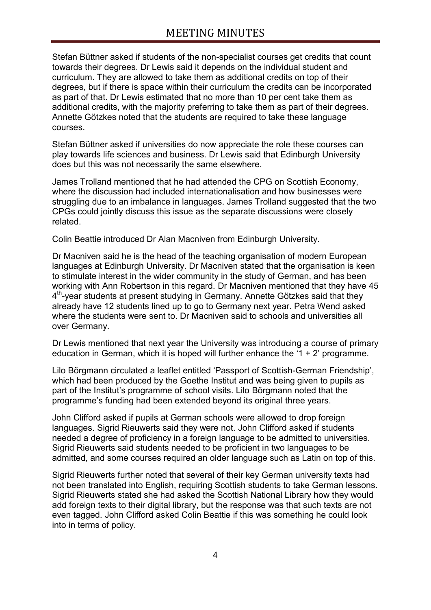Stefan Büttner asked if students of the non-specialist courses get credits that count towards their degrees. Dr Lewis said it depends on the individual student and curriculum. They are allowed to take them as additional credits on top of their degrees, but if there is space within their curriculum the credits can be incorporated as part of that. Dr Lewis estimated that no more than 10 per cent take them as additional credits, with the majority preferring to take them as part of their degrees. Annette Götzkes noted that the students are required to take these language courses.

Stefan Büttner asked if universities do now appreciate the role these courses can play towards life sciences and business. Dr Lewis said that Edinburgh University does but this was not necessarily the same elsewhere.

James Trolland mentioned that he had attended the CPG on Scottish Economy, where the discussion had included internationalisation and how businesses were struggling due to an imbalance in languages. James Trolland suggested that the two CPGs could jointly discuss this issue as the separate discussions were closely related.

Colin Beattie introduced Dr Alan Macniven from Edinburgh University.

Dr Macniven said he is the head of the teaching organisation of modern European languages at Edinburgh University. Dr Macniven stated that the organisation is keen to stimulate interest in the wider community in the study of German, and has been working with Ann Robertson in this regard. Dr Macniven mentioned that they have 45 4<sup>th</sup>-year students at present studying in Germany. Annette Götzkes said that they already have 12 students lined up to go to Germany next year. Petra Wend asked where the students were sent to. Dr Macniven said to schools and universities all over Germany.

Dr Lewis mentioned that next year the University was introducing a course of primary education in German, which it is hoped will further enhance the '1 + 2' programme.

Lilo Börgmann circulated a leaflet entitled 'Passport of Scottish-German Friendship', which had been produced by the Goethe Institut and was being given to pupils as part of the Institut's programme of school visits. Lilo Börgmann noted that the programme's funding had been extended beyond its original three years.

John Clifford asked if pupils at German schools were allowed to drop foreign languages. Sigrid Rieuwerts said they were not. John Clifford asked if students needed a degree of proficiency in a foreign language to be admitted to universities. Sigrid Rieuwerts said students needed to be proficient in two languages to be admitted, and some courses required an older language such as Latin on top of this.

Sigrid Rieuwerts further noted that several of their key German university texts had not been translated into English, requiring Scottish students to take German lessons. Sigrid Rieuwerts stated she had asked the Scottish National Library how they would add foreign texts to their digital library, but the response was that such texts are not even tagged. John Clifford asked Colin Beattie if this was something he could look into in terms of policy.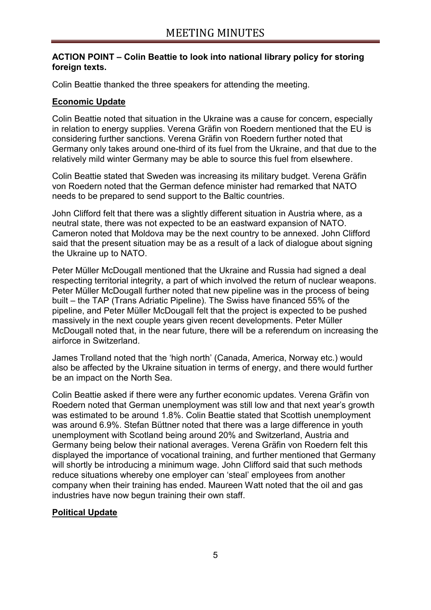### **ACTION POINT – Colin Beattie to look into national library policy for storing foreign texts.**

Colin Beattie thanked the three speakers for attending the meeting.

### **Economic Update**

Colin Beattie noted that situation in the Ukraine was a cause for concern, especially in relation to energy supplies. Verena Gräfin von Roedern mentioned that the EU is considering further sanctions. Verena Gräfin von Roedern further noted that Germany only takes around one-third of its fuel from the Ukraine, and that due to the relatively mild winter Germany may be able to source this fuel from elsewhere.

Colin Beattie stated that Sweden was increasing its military budget. Verena Gräfin von Roedern noted that the German defence minister had remarked that NATO needs to be prepared to send support to the Baltic countries.

John Clifford felt that there was a slightly different situation in Austria where, as a neutral state, there was not expected to be an eastward expansion of NATO. Cameron noted that Moldova may be the next country to be annexed. John Clifford said that the present situation may be as a result of a lack of dialogue about signing the Ukraine up to NATO.

Peter Müller McDougall mentioned that the Ukraine and Russia had signed a deal respecting territorial integrity, a part of which involved the return of nuclear weapons. Peter Müller McDougall further noted that new pipeline was in the process of being built – the TAP (Trans Adriatic Pipeline). The Swiss have financed 55% of the pipeline, and Peter Müller McDougall felt that the project is expected to be pushed massively in the next couple years given recent developments. Peter Müller McDougall noted that, in the near future, there will be a referendum on increasing the airforce in Switzerland.

James Trolland noted that the 'high north' (Canada, America, Norway etc.) would also be affected by the Ukraine situation in terms of energy, and there would further be an impact on the North Sea.

Colin Beattie asked if there were any further economic updates. Verena Gräfin von Roedern noted that German unemployment was still low and that next year's growth was estimated to be around 1.8%. Colin Beattie stated that Scottish unemployment was around 6.9%. Stefan Büttner noted that there was a large difference in youth unemployment with Scotland being around 20% and Switzerland, Austria and Germany being below their national averages. Verena Gräfin von Roedern felt this displayed the importance of vocational training, and further mentioned that Germany will shortly be introducing a minimum wage. John Clifford said that such methods reduce situations whereby one employer can 'steal' employees from another company when their training has ended. Maureen Watt noted that the oil and gas industries have now begun training their own staff.

## **Political Update**